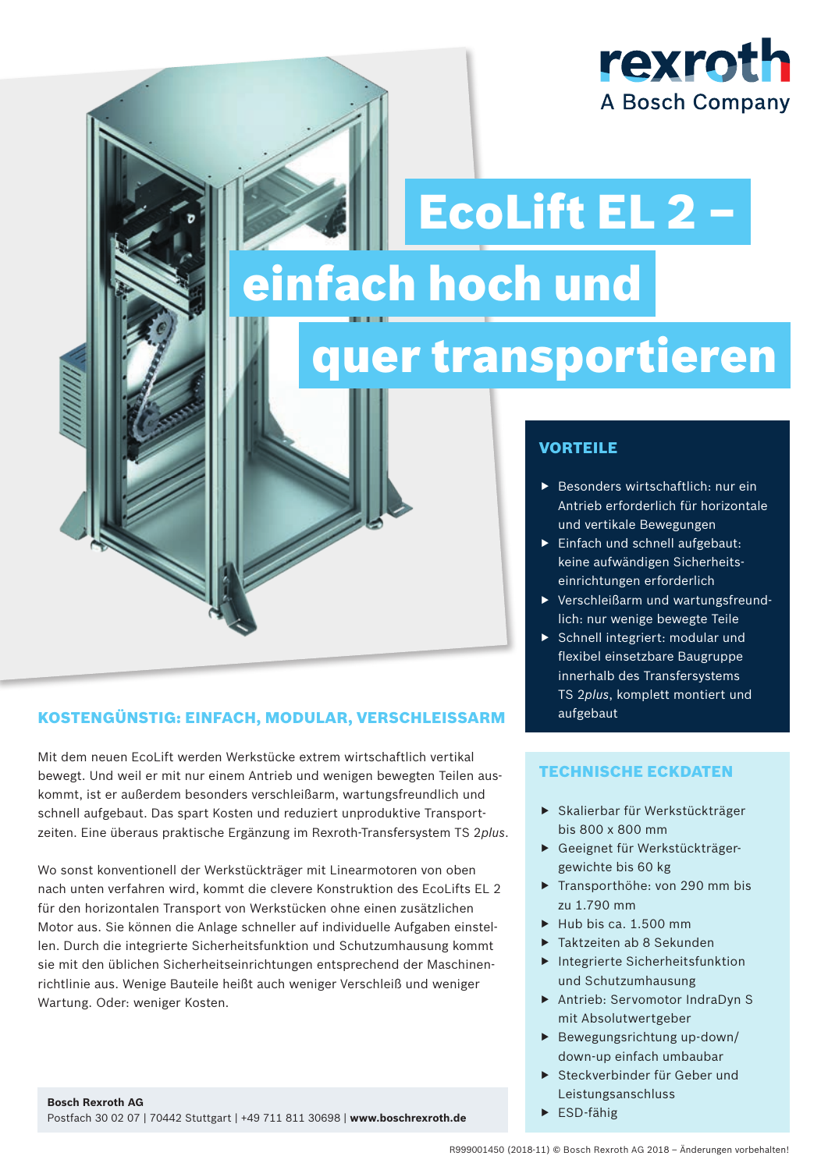## rexroth **A Bosch Company**

# einfach hoch und EcoLift EL 2 –

## quer transportieren

### KOSTENGÜNSTIG: EINFACH, MODULAR, VERSCHLEISSARM

Mit dem neuen EcoLift werden Werkstücke extrem wirtschaftlich vertikal bewegt. Und weil er mit nur einem Antrieb und wenigen bewegten Teilen auskommt, ist er außerdem besonders verschleißarm, wartungsfreundlich und schnell aufgebaut. Das spart Kosten und reduziert unproduktive Transportzeiten. Eine überaus praktische Ergänzung im Rexroth-Transfersystem TS 2*plus*.

Wo sonst konventionell der Werkstückträger mit Linearmotoren von oben nach unten verfahren wird, kommt die clevere Konstruktion des EcoLifts EL 2 für den horizontalen Transport von Werkstücken ohne einen zusätzlichen Motor aus. Sie können die Anlage schneller auf individuelle Aufgaben einstellen. Durch die integrierte Sicherheitsfunktion und Schutzumhausung kommt sie mit den üblichen Sicherheitseinrichtungen entsprechend der Maschinenrichtlinie aus. Wenige Bauteile heißt auch weniger Verschleiß und weniger Wartung. Oder: weniger Kosten.

### VORTEILE

- $\blacktriangleright$  Besonders wirtschaftlich: nur ein Antrieb erforderlich für horizontale und vertikale Bewegungen
- $\blacktriangleright$  Einfach und schnell aufgebaut: keine aufwändigen Sicherheitseinrichtungen erforderlich
- ▶ Verschleißarm und wartungsfreundlich: nur wenige bewegte Teile
- Schnell integriert: modular und flexibel einsetzbare Baugruppe innerhalb des Transfersystems TS 2*plus*, komplett montiert und aufgebaut

### TECHNISCHE ECKDATEN

- f Skalierbar für Werkstückträger bis 800 x 800 mm
- f Geeignet für Werkstückträgergewichte bis 60 kg
- $\triangleright$  Transporthöhe: von 290 mm bis zu 1.790 mm
- $\blacktriangleright$  Hub bis ca. 1.500 mm
- $\blacktriangleright$  Taktzeiten ab 8 Sekunden
- $\blacktriangleright$  Integrierte Sicherheitsfunktion und Schutzumhausung
- ▶ Antrieb: Servomotor IndraDyn S mit Absolutwertgeber
- $\blacktriangleright$  Bewegungsrichtung up-down/ down-up einfach umbaubar
- ▶ Steckverbinder für Geber und Leistungsanschluss
- $\blacktriangleright$  ESD-fähig